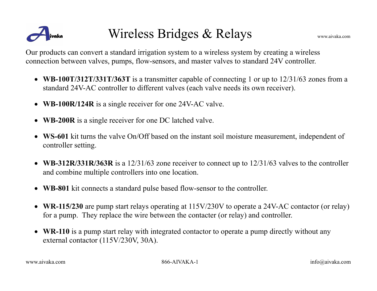

## Wireless Bridges & Relays www.aivaka.com

Our products can convert a standard irrigation system to a wireless system by creating a wireless connection between valves, pumps, flow-sensors, and master valves to standard 24V controller.

- **WB-100T/312T/331T/363T** is a transmitter capable of connecting 1 or up to 12/31/63 zones from a standard 24V-AC controller to different valves (each valve needs its own receiver).
- **WB-100R/124R** is a single receiver for one 24V-AC valve.
- **WB-200R** is a single receiver for one DC latched valve.
- **WS-601** kit turns the valve On/Off based on the instant soil moisture measurement, independent of controller setting.
- **WB-312R/331R/363R** is a 12/31/63 zone receiver to connect up to 12/31/63 valves to the controller and combine multiple controllers into one location.
- **WB-801** kit connects a standard pulse based flow-sensor to the controller.
- **WR-115/230** are pump start relays operating at 115V/230V to operate a 24V-AC contactor (or relay) for a pump. They replace the wire between the contacter (or relay) and controller.
- WR-110 is a pump start relay with integrated contactor to operate a pump directly without any external contactor (115V/230V, 30A).